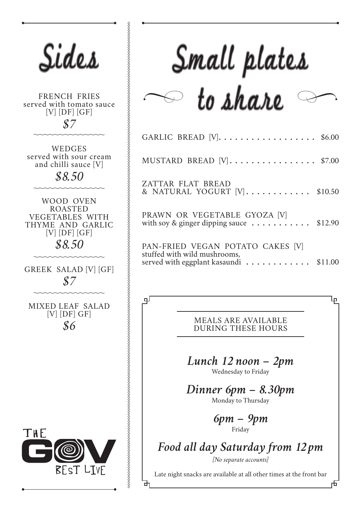| Sides                                                                                                                                                                                                                                                                                                                                                                                | Small                                                                                                                                                                                                                                                                                                 |
|--------------------------------------------------------------------------------------------------------------------------------------------------------------------------------------------------------------------------------------------------------------------------------------------------------------------------------------------------------------------------------------|-------------------------------------------------------------------------------------------------------------------------------------------------------------------------------------------------------------------------------------------------------------------------------------------------------|
| <b>FRENCH FRIES</b><br>served with tomato sauce<br>$[V]$ $[DF]$ $[GF]$<br>$\mathcal{S}\mathcal{I}$<br>WEDGES<br>served with sour cream<br>and chilli sauce [V]<br>\$8.50<br>WOOD OVEN<br><b>ROASTED</b><br><b>VEGETABLES WITH</b><br>THYME AND GARLIC<br>$[V]$ [DF] [GF]<br>\$8.50<br>GREEK SALAD [V] [GF]<br>${\cal S}{\cal T}$<br><b>MIXED LEAF SALAD</b><br>$[V]$ [DF] GF]<br>\$6 | $to \Lambda$<br>GARLIC BREAD [V].<br>MUSTARD BREAD [V]<br>ZATTAR FLAT BREAD<br>& NATURAL YOGURT [V]<br>PRAWN OR VEGETABLE<br>with soy & ginger dipping sauce<br>PAN-FRIED VEGAN POTA<br>stuffed with wild mushrooms,<br>served with eggplant kasaundi<br>ᆛ<br><b>MEALS ARE A</b><br><b>DURING THE</b> |
| THE<br>BEST LIVE                                                                                                                                                                                                                                                                                                                                                                     | Lunch 12 no<br>Wednesday t<br>Dinner 6pm<br>Monday to T<br>6pm<br>Frida<br>Food all day Satur<br>[No separate<br>Late night snacks are available at<br>□                                                                                                                                              |

# Small plates  $\sim$  to share

| GARLIC BREAD $[V]$ \$6.00                                                                                 |  |
|-----------------------------------------------------------------------------------------------------------|--|
| MUSTARD BREAD $[V]$ \$7.00                                                                                |  |
| ZATTAR FLAT BREAD<br>& NATURAL YOGURT [V] \$10.50                                                         |  |
| PRAWN OR VEGETABLE GYOZA [V]<br>with soy & ginger dipping sauce $\dots \dots \dots \dots$ \$12.90         |  |
| PAN-FRIED VEGAN POTATO CAKES [V]<br>stuffed with wild mushrooms,<br>served with eggplant kasaundi \$11.00 |  |

**NVAILABLE** SE HOURS ᡅ

市

*Lunch 12 noon – 2pm*

o Friday

*Dinner 6pm – 8.30pm* Thursday

> *6pm – 9pm*  $\dot{y}$

*Food all day Saturday from 12 pm*

 $accounds]$ 

all other times at the front bar